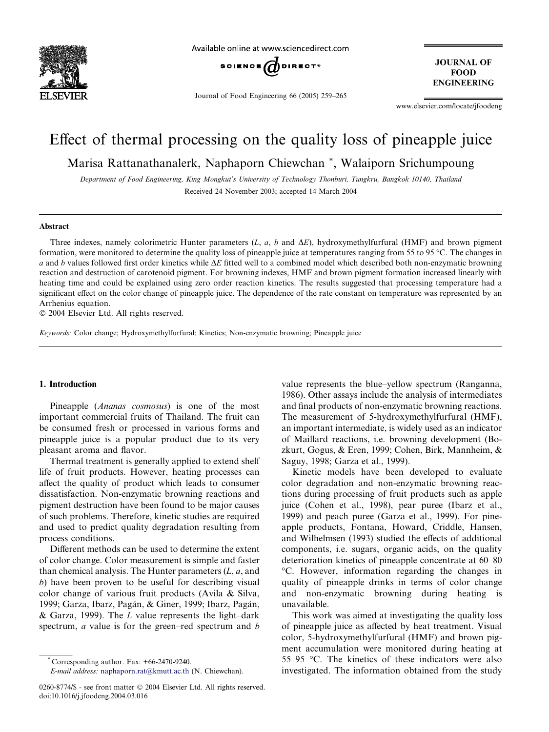

Available online at www.sciencedirect.com



Journal of Food Engineering 66 (2005) 259–265

**JOURNAL OF FOOD ENGINEERING** 

www.elsevier.com/locate/jfoodeng

## Effect of thermal processing on the quality loss of pineapple juice

Marisa Rattanathanalerk, Naphaporn Chiewchan \*, Walaiporn Srichumpoung

Department of Food Engineering, King Mongkut's University of Technology Thonburi, Tungkru, Bangkok 10140, Thailand Received 24 November 2003; accepted 14 March 2004

## Abstract

Three indexes, namely colorimetric Hunter parameters  $(L, a, b$  and  $\Delta E)$ , hydroxymethylfurfural (HMF) and brown pigment formation, were monitored to determine the quality loss of pineapple juice at temperatures ranging from 55 to 95 °C. The changes in a and b values followed first order kinetics while  $\Delta E$  fitted well to a combined model which described both non-enzymatic browning reaction and destruction of carotenoid pigment. For browning indexes, HMF and brown pigment formation increased linearly with heating time and could be explained using zero order reaction kinetics. The results suggested that processing temperature had a significant effect on the color change of pineapple juice. The dependence of the rate constant on temperature was represented by an Arrhenius equation.

 $© 2004 Elsevier Ltd. All rights reserved.$ 

Keywords: Color change; Hydroxymethylfurfural; Kinetics; Non-enzymatic browning; Pineapple juice

### 1. Introduction

Pineapple (Ananas cosmosus) is one of the most important commercial fruits of Thailand. The fruit can be consumed fresh or processed in various forms and pineapple juice is a popular product due to its very pleasant aroma and flavor.

Thermal treatment is generally applied to extend shelf life of fruit products. However, heating processes can affect the quality of product which leads to consumer dissatisfaction. Non-enzymatic browning reactions and pigment destruction have been found to be major causes of such problems. Therefore, kinetic studies are required and used to predict quality degradation resulting from process conditions.

Different methods can be used to determine the extent of color change. Color measurement is simple and faster than chemical analysis. The Hunter parameters  $(L, a, and)$ b) have been proven to be useful for describing visual color change of various fruit products (Avila & Silva, 1999; Garza, Ibarz, Pagán, & Giner, 1999; Ibarz, Pagán, & Garza, 1999). The  $L$  value represents the light–dark spectrum, *a* value is for the green–red spectrum and *b* 

value represents the blue–yellow spectrum (Ranganna, 1986). Other assays include the analysis of intermediates and final products of non-enzymatic browning reactions. The measurement of 5-hydroxymethylfurfural (HMF), an important intermediate, is widely used as an indicator of Maillard reactions, i.e. browning development (Bozkurt, Gogus, & Eren, 1999; Cohen, Birk, Mannheim, & Saguy, 1998; Garza et al., 1999).

Kinetic models have been developed to evaluate color degradation and non-enzymatic browning reactions during processing of fruit products such as apple juice (Cohen et al., 1998), pear puree (Ibarz et al., 1999) and peach puree (Garza et al., 1999). For pineapple products, Fontana, Howard, Criddle, Hansen, and Wilhelmsen (1993) studied the effects of additional components, i.e. sugars, organic acids, on the quality deterioration kinetics of pineapple concentrate at 60–80 C. However, information regarding the changes in quality of pineapple drinks in terms of color change and non-enzymatic browning during heating is unavailable.

This work was aimed at investigating the quality loss of pineapple juice as affected by heat treatment. Visual color, 5-hydroxymethylfurfural (HMF) and brown pigment accumulation were monitored during heating at 55–95  $\degree$ C. The kinetics of these indicators were also investigated. The information obtained from the study

Corresponding author. Fax: +66-2470-9240.

E-mail address: [naphaporn.rat@kmutt.ac.th](mail to: naphaporn.rat@kmutt.ac.th) (N. Chiewchan).

<sup>0260-8774/\$ -</sup> see front matter © 2004 Elsevier Ltd. All rights reserved. doi:10.1016/j.jfoodeng.2004.03.016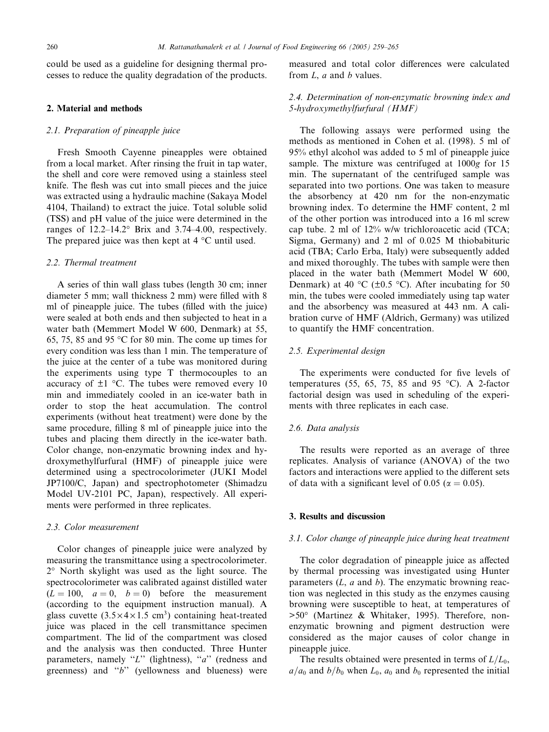could be used as a guideline for designing thermal processes to reduce the quality degradation of the products.

## 2. Material and methods

## 2.1. Preparation of pineapple juice

Fresh Smooth Cayenne pineapples were obtained from a local market. After rinsing the fruit in tap water, the shell and core were removed using a stainless steel knife. The flesh was cut into small pieces and the juice was extracted using a hydraulic machine (Sakaya Model 4104, Thailand) to extract the juice. Total soluble solid (TSS) and pH value of the juice were determined in the ranges of  $12.2-14.2^{\circ}$  Brix and  $3.74-4.00$ , respectively. The prepared juice was then kept at  $4^{\circ}$ C until used.

## 2.2. Thermal treatment

A series of thin wall glass tubes (length 30 cm; inner diameter 5 mm; wall thickness 2 mm) were filled with 8 ml of pineapple juice. The tubes (filled with the juice) were sealed at both ends and then subjected to heat in a water bath (Memmert Model W 600, Denmark) at 55, 65, 75, 85 and 95  $\degree$ C for 80 min. The come up times for every condition was less than 1 min. The temperature of the juice at the center of a tube was monitored during the experiments using type T thermocouples to an accuracy of  $\pm 1$  °C. The tubes were removed every 10 min and immediately cooled in an ice-water bath in order to stop the heat accumulation. The control experiments (without heat treatment) were done by the same procedure, filling 8 ml of pineapple juice into the tubes and placing them directly in the ice-water bath. Color change, non-enzymatic browning index and hydroxymethylfurfural (HMF) of pineapple juice were determined using a spectrocolorimeter (JUKI Model JP7100/C, Japan) and spectrophotometer (Shimadzu Model UV-2101 PC, Japan), respectively. All experiments were performed in three replicates.

#### 2.3. Color measurement

Color changes of pineapple juice were analyzed by measuring the transmittance using a spectrocolorimeter.  $2^{\circ}$  North skylight was used as the light source. The spectrocolorimeter was calibrated against distilled water  $(L = 100, a = 0, b = 0)$  before the measurement (according to the equipment instruction manual). A glass cuvette  $(3.5 \times 4 \times 1.5 \text{ cm}^3)$  containing heat-treated juice was placed in the cell transmittance specimen compartment. The lid of the compartment was closed and the analysis was then conducted. Three Hunter parameters, namely "L" (lightness), " $a$ " (redness and greenness) and ''b'' (yellowness and blueness) were measured and total color differences were calculated from  $L$ ,  $a$  and  $b$  values.

## 2.4. Determination of non-enzymatic browning index and 5-hydroxymethylfurfural (HMF)

The following assays were performed using the methods as mentioned in Cohen et al. (1998). 5 ml of 95% ethyl alcohol was added to 5 ml of pineapple juice sample. The mixture was centrifuged at  $1000g$  for 15 min. The supernatant of the centrifuged sample was separated into two portions. One was taken to measure the absorbency at 420 nm for the non-enzymatic browning index. To determine the HMF content, 2 ml of the other portion was introduced into a 16 ml screw cap tube. 2 ml of 12% w/w trichloroacetic acid (TCA; Sigma, Germany) and 2 ml of 0.025 M thiobabituric acid (TBA; Carlo Erba, Italy) were subsequently added and mixed thoroughly. The tubes with sample were then placed in the water bath (Memmert Model W 600, Denmark) at 40 °C ( $\pm$ 0.5 °C). After incubating for 50 min, the tubes were cooled immediately using tap water and the absorbency was measured at 443 nm. A calibration curve of HMF (Aldrich, Germany) was utilized to quantify the HMF concentration.

#### 2.5. Experimental design

The experiments were conducted for five levels of temperatures (55, 65, 75, 85 and 95  $^{\circ}$ C). A 2-factor factorial design was used in scheduling of the experiments with three replicates in each case.

#### 2.6. Data analysis

The results were reported as an average of three replicates. Analysis of variance (ANOVA) of the two factors and interactions were applied to the different sets of data with a significant level of 0.05 ( $\alpha$  = 0.05).

#### 3. Results and discussion

### 3.1. Color change of pineapple juice during heat treatment

The color degradation of pineapple juice as affected by thermal processing was investigated using Hunter parameters  $(L, a \text{ and } b)$ . The enzymatic browning reaction was neglected in this study as the enzymes causing browning were susceptible to heat, at temperatures of  $>50^\circ$  (Martinez & Whitaker, 1995). Therefore, nonenzymatic browning and pigment destruction were considered as the major causes of color change in pineapple juice.

The results obtained were presented in terms of  $L/L_0$ ,  $a/a_0$  and  $b/b_0$  when  $L_0$ ,  $a_0$  and  $b_0$  represented the initial